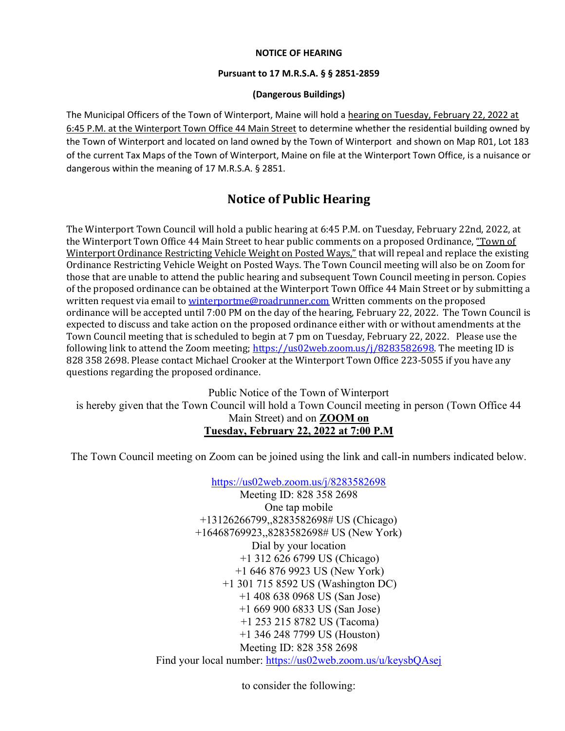#### NOTICE OF HEARING

#### Pursuant to 17 M.R.S.A. § § 2851-2859

#### (Dangerous Buildings)

The Municipal Officers of the Town of Winterport, Maine will hold a hearing on Tuesday, February 22, 2022 at 6:45 P.M. at the Winterport Town Office 44 Main Street to determine whether the residential building owned by the Town of Winterport and located on land owned by the Town of Winterport and shown on Map R01, Lot 183 of the current Tax Maps of the Town of Winterport, Maine on file at the Winterport Town Office, is a nuisance or dangerous within the meaning of 17 M.R.S.A. § 2851.

# Notice of Public Hearing

The Winterport Town Council will hold a public hearing at 6:45 P.M. on Tuesday, February 22nd, 2022, at the Winterport Town Office 44 Main Street to hear public comments on a proposed Ordinance, "Town of Winterport Ordinance Restricting Vehicle Weight on Posted Ways," that will repeal and replace the existing Ordinance Restricting Vehicle Weight on Posted Ways. The Town Council meeting will also be on Zoom for those that are unable to attend the public hearing and subsequent Town Council meeting in person. Copies of the proposed ordinance can be obtained at the Winterport Town Office 44 Main Street or by submitting a written request via email to winterportme@roadrunner.com Written comments on the proposed ordinance will be accepted until 7:00 PM on the day of the hearing, February 22, 2022. The Town Council is expected to discuss and take action on the proposed ordinance either with or without amendments at the Town Council meeting that is scheduled to begin at 7 pm on Tuesday, February 22, 2022. Please use the following link to attend the Zoom meeting; https://us02web.zoom.us/j/8283582698. The meeting ID is 828 358 2698. Please contact Michael Crooker at the Winterport Town Office 223-5055 if you have any questions regarding the proposed ordinance.

Public Notice of the Town of Winterport is hereby given that the Town Council will hold a Town Council meeting in person (Town Office 44 Main Street) and on ZOOM on Tuesday, February 22, 2022 at 7:00 P.M

The Town Council meeting on Zoom can be joined using the link and call-in numbers indicated below.

https://us02web.zoom.us/j/8283582698

Meeting ID: 828 358 2698 One tap mobile +13126266799,,8283582698# US (Chicago) +16468769923,,8283582698# US (New York) Dial by your location +1 312 626 6799 US (Chicago) +1 646 876 9923 US (New York) +1 301 715 8592 US (Washington DC) +1 408 638 0968 US (San Jose) +1 669 900 6833 US (San Jose) +1 253 215 8782 US (Tacoma) +1 346 248 7799 US (Houston) Meeting ID: 828 358 2698 Find your local number: https://us02web.zoom.us/u/keysbQAsej

to consider the following: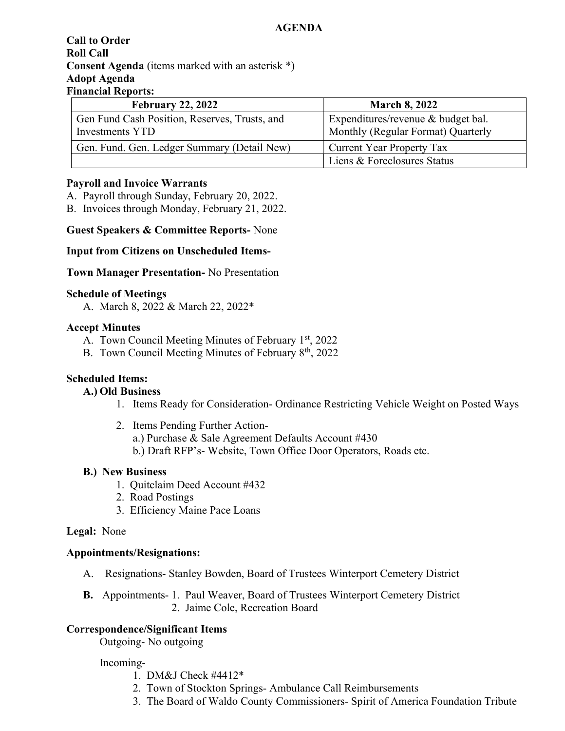### **AGENDA**

### Call to Order Roll Call Consent Agenda (items marked with an asterisk \*) Adopt Agenda Financial Reports:

| <b>February 22, 2022</b>                                         | <b>March 8, 2022</b>                                                     |
|------------------------------------------------------------------|--------------------------------------------------------------------------|
| Gen Fund Cash Position, Reserves, Trusts, and<br>Investments YTD | Expenditures/revenue & budget bal.<br>Monthly (Regular Format) Quarterly |
| Gen. Fund. Gen. Ledger Summary (Detail New)                      | <b>Current Year Property Tax</b>                                         |
|                                                                  | Liens & Foreclosures Status                                              |

### Payroll and Invoice Warrants

A. Payroll through Sunday, February 20, 2022.

B. Invoices through Monday, February 21, 2022.

Guest Speakers & Committee Reports- None

### Input from Citizens on Unscheduled Items-

#### Town Manager Presentation- No Presentation

#### Schedule of Meetings

A. March 8, 2022 & March 22, 2022\*

### Accept Minutes

- A. Town Council Meeting Minutes of February  $1<sup>st</sup>$ , 2022
- B. Town Council Meeting Minutes of February 8<sup>th</sup>, 2022

## Scheduled Items:

## A.) Old Business

- 1. Items Ready for Consideration- Ordinance Restricting Vehicle Weight on Posted Ways
- 2. Items Pending Further Actiona.) Purchase & Sale Agreement Defaults Account #430 b.) Draft RFP's- Website, Town Office Door Operators, Roads etc.

#### B.) New Business

- 1. Quitclaim Deed Account #432
- 2. Road Postings
- 3. Efficiency Maine Pace Loans

#### Legal: None

#### Appointments/Resignations:

- A. Resignations- Stanley Bowden, Board of Trustees Winterport Cemetery District
- B. Appointments- 1. Paul Weaver, Board of Trustees Winterport Cemetery District 2. Jaime Cole, Recreation Board

## Correspondence/Significant Items

Outgoing- No outgoing

#### Incoming-

- 1. DM&J Check #4412\*
- 2. Town of Stockton Springs- Ambulance Call Reimbursements
- 3. The Board of Waldo County Commissioners- Spirit of America Foundation Tribute